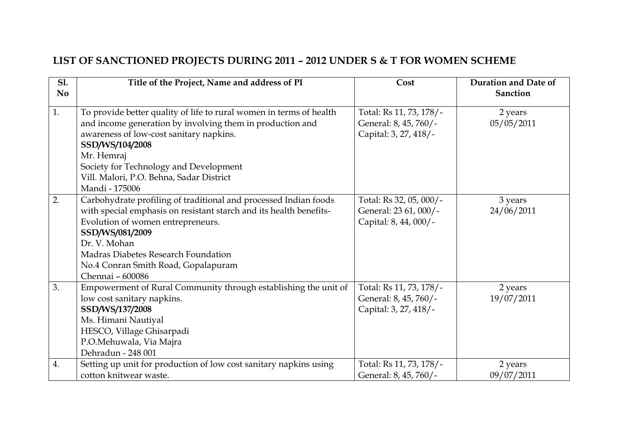## **LIST OF SANCTIONED PROJECTS DURING 2011 – 2012 UNDER S & T FOR WOMEN SCHEME**

| <b>S1.</b><br>N <sub>0</sub> | Title of the Project, Name and address of PI                        | Cost                    | Duration and Date of<br><b>Sanction</b> |
|------------------------------|---------------------------------------------------------------------|-------------------------|-----------------------------------------|
|                              |                                                                     |                         |                                         |
| 1.                           | To provide better quality of life to rural women in terms of health | Total: Rs 11, 73, 178/- | 2 years                                 |
|                              | and income generation by involving them in production and           | General: 8, 45, 760/-   | 05/05/2011                              |
|                              | awareness of low-cost sanitary napkins.                             | Capital: 3, 27, 418/-   |                                         |
|                              | SSD/WS/104/2008                                                     |                         |                                         |
|                              | Mr. Hemraj                                                          |                         |                                         |
|                              | Society for Technology and Development                              |                         |                                         |
|                              | Vill. Malori, P.O. Behna, Sadar District                            |                         |                                         |
|                              | Mandi - 175006                                                      |                         |                                         |
| 2.                           | Carbohydrate profiling of traditional and processed Indian foods    | Total: Rs 32, 05, 000/- | 3 years                                 |
|                              | with special emphasis on resistant starch and its health benefits-  | General: 23 61, 000/-   | 24/06/2011                              |
|                              | Evolution of women entrepreneurs.                                   | Capital: 8, 44, 000/-   |                                         |
|                              | SSD/WS/081/2009                                                     |                         |                                         |
|                              | Dr. V. Mohan                                                        |                         |                                         |
|                              | Madras Diabetes Research Foundation                                 |                         |                                         |
|                              | No.4 Conran Smith Road, Gopalapuram                                 |                         |                                         |
|                              | Chennai - 600086                                                    |                         |                                         |
| 3.                           | Empowerment of Rural Community through establishing the unit of     | Total: Rs 11, 73, 178/- | 2 years                                 |
|                              | low cost sanitary napkins.                                          | General: 8, 45, 760/-   | 19/07/2011                              |
|                              | SSD/WS/137/2008                                                     | Capital: 3, 27, 418/-   |                                         |
|                              | Ms. Himani Nautiyal                                                 |                         |                                         |
|                              | HESCO, Village Ghisarpadi                                           |                         |                                         |
|                              | P.O.Mehuwala, Via Majra                                             |                         |                                         |
|                              | Dehradun - 248 001                                                  |                         |                                         |
| 4.                           | Setting up unit for production of low cost sanitary napkins using   | Total: Rs 11, 73, 178/- | 2 years                                 |
|                              | cotton knitwear waste.                                              | General: 8, 45, 760/-   | 09/07/2011                              |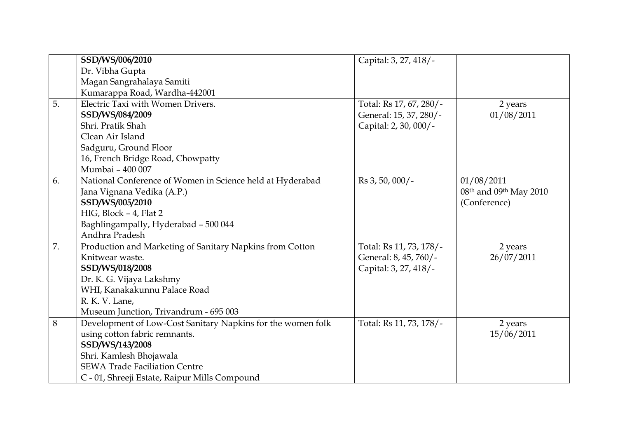|    | SSD/WS/006/2010                                             | Capital: 3, 27, 418/-   |                                                |
|----|-------------------------------------------------------------|-------------------------|------------------------------------------------|
|    | Dr. Vibha Gupta                                             |                         |                                                |
|    | Magan Sangrahalaya Samiti                                   |                         |                                                |
|    | Kumarappa Road, Wardha-442001                               |                         |                                                |
| 5. | Electric Taxi with Women Drivers.                           | Total: Rs 17, 67, 280/- | 2 years                                        |
|    | SSD/WS/084/2009                                             | General: 15, 37, 280/-  | 01/08/2011                                     |
|    | Shri, Pratik Shah                                           | Capital: 2, 30, 000/-   |                                                |
|    | Clean Air Island                                            |                         |                                                |
|    | Sadguru, Ground Floor                                       |                         |                                                |
|    | 16, French Bridge Road, Chowpatty                           |                         |                                                |
|    | Mumbai - 400 007                                            |                         |                                                |
| 6. | National Conference of Women in Science held at Hyderabad   | Rs 3, 50, 000/-         | 01/08/2011                                     |
|    | Jana Vignana Vedika (A.P.)                                  |                         | 08 <sup>th</sup> and 09 <sup>th</sup> May 2010 |
|    | SSD/WS/005/2010                                             |                         | (Conference)                                   |
|    | HIG, Block - 4, Flat 2                                      |                         |                                                |
|    | Baghlingampally, Hyderabad - 500 044                        |                         |                                                |
|    | Andhra Pradesh                                              |                         |                                                |
| 7. | Production and Marketing of Sanitary Napkins from Cotton    | Total: Rs 11, 73, 178/- | 2 years                                        |
|    | Knitwear waste.                                             | General: 8, 45, 760/-   | 26/07/2011                                     |
|    | SSD/WS/018/2008                                             | Capital: 3, 27, 418/-   |                                                |
|    | Dr. K. G. Vijaya Lakshmy                                    |                         |                                                |
|    | WHI, Kanakakunnu Palace Road                                |                         |                                                |
|    | R. K. V. Lane,                                              |                         |                                                |
|    | Museum Junction, Trivandrum - 695 003                       |                         |                                                |
| 8  | Development of Low-Cost Sanitary Napkins for the women folk | Total: Rs 11, 73, 178/- | 2 years                                        |
|    | using cotton fabric remnants.                               |                         | 15/06/2011                                     |
|    | SSD/WS/143/2008                                             |                         |                                                |
|    | Shri. Kamlesh Bhojawala                                     |                         |                                                |
|    | <b>SEWA Trade Faciliation Centre</b>                        |                         |                                                |
|    | C - 01, Shreeji Estate, Raipur Mills Compound               |                         |                                                |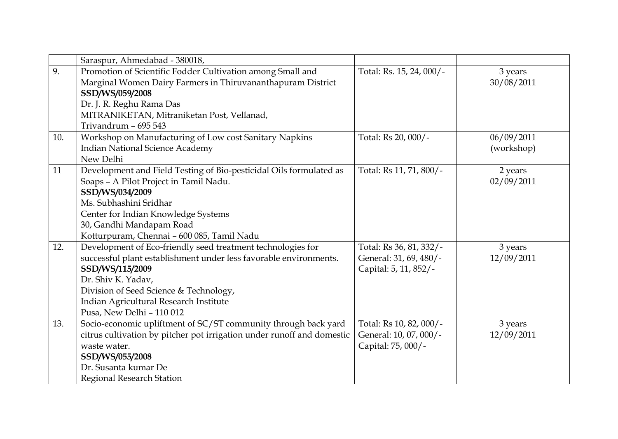|     | Saraspur, Ahmedabad - 380018,                                          |                          |            |
|-----|------------------------------------------------------------------------|--------------------------|------------|
| 9.  | Promotion of Scientific Fodder Cultivation among Small and             | Total: Rs. 15, 24, 000/- | 3 years    |
|     | Marginal Women Dairy Farmers in Thiruvananthapuram District            |                          | 30/08/2011 |
|     | SSD/WS/059/2008                                                        |                          |            |
|     | Dr. J. R. Reghu Rama Das                                               |                          |            |
|     | MITRANIKETAN, Mitraniketan Post, Vellanad,                             |                          |            |
|     | Trivandrum - 695 543                                                   |                          |            |
| 10. | Workshop on Manufacturing of Low cost Sanitary Napkins                 | Total: Rs 20, 000/-      | 06/09/2011 |
|     | <b>Indian National Science Academy</b>                                 |                          | (workshop) |
|     | New Delhi                                                              |                          |            |
| 11  | Development and Field Testing of Bio-pesticidal Oils formulated as     | Total: Rs 11, 71, 800/-  | 2 years    |
|     | Soaps - A Pilot Project in Tamil Nadu.                                 |                          | 02/09/2011 |
|     | SSD/WS/034/2009                                                        |                          |            |
|     | Ms. Subhashini Sridhar                                                 |                          |            |
|     | Center for Indian Knowledge Systems                                    |                          |            |
|     | 30, Gandhi Mandapam Road                                               |                          |            |
|     | Kotturpuram, Chennai - 600 085, Tamil Nadu                             |                          |            |
| 12. | Development of Eco-friendly seed treatment technologies for            | Total: Rs 36, 81, 332/-  | 3 years    |
|     | successful plant establishment under less favorable environments.      | General: 31, 69, 480/-   | 12/09/2011 |
|     | SSD/WS/115/2009                                                        | Capital: 5, 11, 852/-    |            |
|     | Dr. Shiv K. Yadav,                                                     |                          |            |
|     | Division of Seed Science & Technology,                                 |                          |            |
|     | Indian Agricultural Research Institute                                 |                          |            |
|     | Pusa, New Delhi - 110 012                                              |                          |            |
| 13. | Socio-economic upliftment of SC/ST community through back yard         | Total: Rs 10, 82, 000/-  | 3 years    |
|     | citrus cultivation by pitcher pot irrigation under runoff and domestic | General: 10, 07, 000/-   | 12/09/2011 |
|     | waste water.                                                           | Capital: 75, 000/-       |            |
|     | SSD/WS/055/2008                                                        |                          |            |
|     | Dr. Susanta kumar De                                                   |                          |            |
|     | <b>Regional Research Station</b>                                       |                          |            |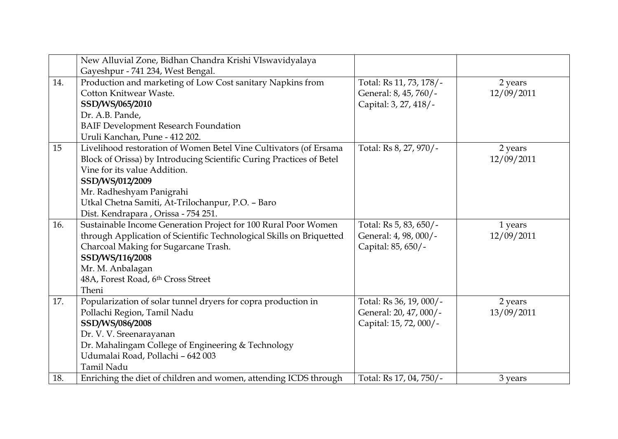|     | New Alluvial Zone, Bidhan Chandra Krishi VIswavidyalaya              |                         |            |
|-----|----------------------------------------------------------------------|-------------------------|------------|
|     | Gayeshpur - 741 234, West Bengal.                                    |                         |            |
| 14. | Production and marketing of Low Cost sanitary Napkins from           | Total: Rs 11, 73, 178/- | 2 years    |
|     | Cotton Knitwear Waste.                                               | General: 8, 45, 760/-   | 12/09/2011 |
|     | SSD/WS/065/2010                                                      | Capital: 3, 27, 418/-   |            |
|     | Dr. A.B. Pande,                                                      |                         |            |
|     | <b>BAIF Development Research Foundation</b>                          |                         |            |
|     | Uruli Kanchan, Pune - 412 202.                                       |                         |            |
| 15  | Livelihood restoration of Women Betel Vine Cultivators (of Ersama    | Total: Rs 8, 27, 970/-  | 2 years    |
|     | Block of Orissa) by Introducing Scientific Curing Practices of Betel |                         | 12/09/2011 |
|     | Vine for its value Addition.                                         |                         |            |
|     | SSD/WS/012/2009                                                      |                         |            |
|     | Mr. Radheshyam Panigrahi                                             |                         |            |
|     | Utkal Chetna Samiti, At-Trilochanpur, P.O. - Baro                    |                         |            |
|     | Dist. Kendrapara , Orissa - 754 251.                                 |                         |            |
| 16. | Sustainable Income Generation Project for 100 Rural Poor Women       | Total: Rs 5, 83, 650/-  | 1 years    |
|     | through Application of Scientific Technological Skills on Briquetted | General: 4, 98, 000/-   | 12/09/2011 |
|     | Charcoal Making for Sugarcane Trash.                                 | Capital: 85, 650/-      |            |
|     | SSD/WS/116/2008                                                      |                         |            |
|     | Mr. M. Anbalagan                                                     |                         |            |
|     | 48A, Forest Road, 6th Cross Street                                   |                         |            |
|     | Theni                                                                |                         |            |
| 17. | Popularization of solar tunnel dryers for copra production in        | Total: Rs 36, 19, 000/- | 2 years    |
|     | Pollachi Region, Tamil Nadu                                          | General: 20, 47, 000/-  | 13/09/2011 |
|     | SSD/WS/086/2008                                                      | Capital: 15, 72, 000/-  |            |
|     | Dr. V. V. Sreenarayanan                                              |                         |            |
|     | Dr. Mahalingam College of Engineering & Technology                   |                         |            |
|     | Udumalai Road, Pollachi - 642 003                                    |                         |            |
|     | Tamil Nadu                                                           |                         |            |
| 18. | Enriching the diet of children and women, attending ICDS through     | Total: Rs 17, 04, 750/- | 3 years    |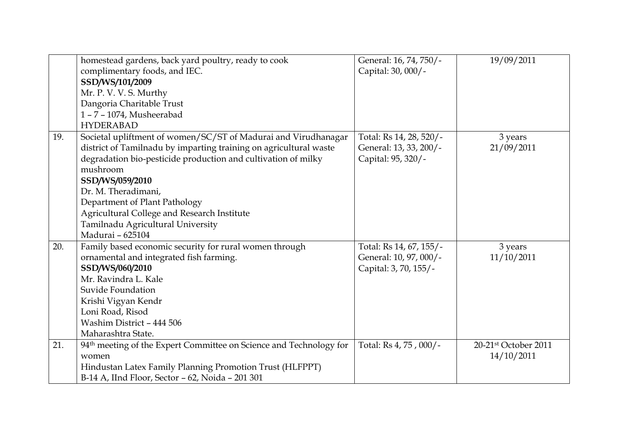|     | homestead gardens, back yard poultry, ready to cook                            | General: 16, 74, 750/-  | 19/09/2011           |
|-----|--------------------------------------------------------------------------------|-------------------------|----------------------|
|     | complimentary foods, and IEC.                                                  | Capital: 30, 000/-      |                      |
|     | SSD/WS/101/2009                                                                |                         |                      |
|     | Mr. P. V. V. S. Murthy                                                         |                         |                      |
|     | Dangoria Charitable Trust                                                      |                         |                      |
|     | 1-7-1074, Musheerabad                                                          |                         |                      |
|     | <b>HYDERABAD</b>                                                               |                         |                      |
| 19. | Societal upliftment of women/SC/ST of Madurai and Virudhanagar                 | Total: Rs 14, 28, 520/- | 3 years              |
|     | district of Tamilnadu by imparting training on agricultural waste              | General: 13, 33, 200/-  | 21/09/2011           |
|     | degradation bio-pesticide production and cultivation of milky                  | Capital: 95, 320/-      |                      |
|     | mushroom                                                                       |                         |                      |
|     | SSD/WS/059/2010                                                                |                         |                      |
|     | Dr. M. Theradimani,                                                            |                         |                      |
|     | Department of Plant Pathology                                                  |                         |                      |
|     | Agricultural College and Research Institute                                    |                         |                      |
|     | Tamilnadu Agricultural University                                              |                         |                      |
|     | Madurai - 625104                                                               |                         |                      |
| 20. | Family based economic security for rural women through                         | Total: Rs 14, 67, 155/- | 3 years              |
|     | ornamental and integrated fish farming.                                        | General: 10, 97, 000/-  | 11/10/2011           |
|     | SSD/WS/060/2010                                                                | Capital: 3, 70, 155/-   |                      |
|     | Mr. Ravindra L. Kale                                                           |                         |                      |
|     | Suvide Foundation                                                              |                         |                      |
|     | Krishi Vigyan Kendr                                                            |                         |                      |
|     | Loni Road, Risod                                                               |                         |                      |
|     | Washim District - 444 506                                                      |                         |                      |
|     | Maharashtra State.                                                             |                         |                      |
| 21. | 94 <sup>th</sup> meeting of the Expert Committee on Science and Technology for | Total: Rs 4, 75, 000/-  | 20-21st October 2011 |
|     | women                                                                          |                         | 14/10/2011           |
|     | Hindustan Latex Family Planning Promotion Trust (HLFPPT)                       |                         |                      |
|     | B-14 A, IInd Floor, Sector - 62, Noida - 201 301                               |                         |                      |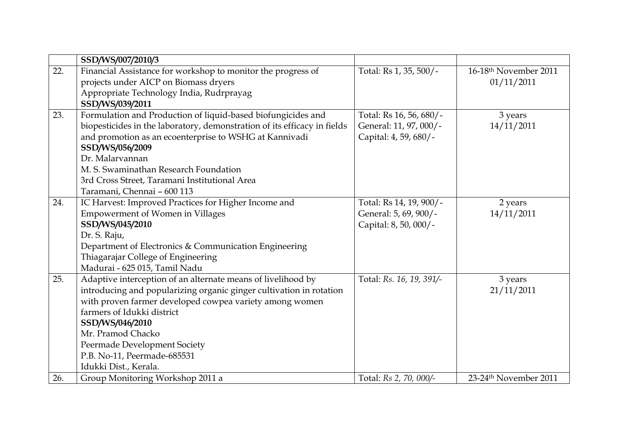|     | SSD/WS/007/2010/3                                                        |                          |                                   |
|-----|--------------------------------------------------------------------------|--------------------------|-----------------------------------|
| 22. | Financial Assistance for workshop to monitor the progress of             | Total: Rs 1, 35, 500/-   | 16-18 <sup>th</sup> November 2011 |
|     | projects under AICP on Biomass dryers                                    |                          | 01/11/2011                        |
|     | Appropriate Technology India, Rudrprayag                                 |                          |                                   |
|     | SSD/WS/039/2011                                                          |                          |                                   |
| 23. | Formulation and Production of liquid-based biofungicides and             | Total: Rs 16, 56, 680/-  | 3 years                           |
|     | biopesticides in the laboratory, demonstration of its efficacy in fields | General: 11, 97, 000/-   | 14/11/2011                        |
|     | and promotion as an ecoenterprise to WSHG at Kannivadi                   | Capital: 4, 59, 680/-    |                                   |
|     | SSD/WS/056/2009                                                          |                          |                                   |
|     | Dr. Malarvannan                                                          |                          |                                   |
|     | M. S. Swaminathan Research Foundation                                    |                          |                                   |
|     | 3rd Cross Street, Taramani Institutional Area                            |                          |                                   |
|     | Taramani, Chennai - 600 113                                              |                          |                                   |
| 24. | IC Harvest: Improved Practices for Higher Income and                     | Total: Rs 14, 19, 900/-  | 2 years                           |
|     | <b>Empowerment of Women in Villages</b>                                  | General: 5, 69, 900/-    | 14/11/2011                        |
|     | SSD/WS/045/2010                                                          | Capital: 8, 50, 000/-    |                                   |
|     | Dr. S. Raju,                                                             |                          |                                   |
|     | Department of Electronics & Communication Engineering                    |                          |                                   |
|     | Thiagarajar College of Engineering                                       |                          |                                   |
|     | Madurai - 625 015, Tamil Nadu                                            |                          |                                   |
| 25. | Adaptive interception of an alternate means of livelihood by             | Total: Rs. 16, 19, 391/- | 3 years                           |
|     | introducing and popularizing organic ginger cultivation in rotation      |                          | 21/11/2011                        |
|     | with proven farmer developed cowpea variety among women                  |                          |                                   |
|     | farmers of Idukki district                                               |                          |                                   |
|     | SSD/WS/046/2010                                                          |                          |                                   |
|     | Mr. Pramod Chacko                                                        |                          |                                   |
|     | Peermade Development Society                                             |                          |                                   |
|     | P.B. No-11, Peermade-685531                                              |                          |                                   |
|     | Idukki Dist., Kerala.                                                    |                          |                                   |
| 26. | Group Monitoring Workshop 2011 a                                         | Total: Rs 2, 70, 000/-   | 23-24th November 2011             |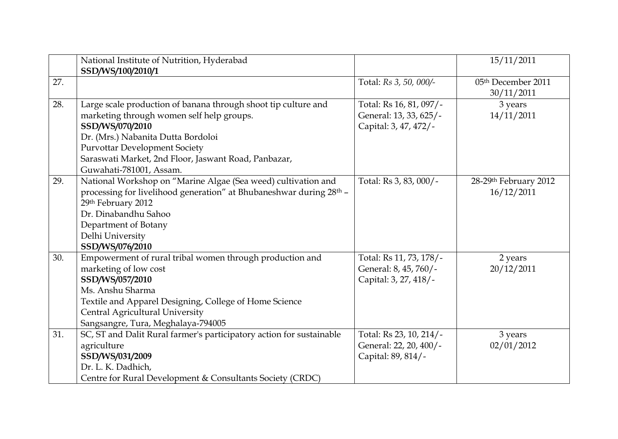|     | National Institute of Nutrition, Hyderabad                                      |                         | 15/11/2011            |
|-----|---------------------------------------------------------------------------------|-------------------------|-----------------------|
|     | SSD/WS/100/2010/1                                                               |                         |                       |
| 27. |                                                                                 | Total: Rs 3, 50, 000/-  | 05th December 2011    |
|     |                                                                                 |                         | 30/11/2011            |
| 28. | Large scale production of banana through shoot tip culture and                  | Total: Rs 16, 81, 097/- | 3 years               |
|     | marketing through women self help groups.                                       | General: 13, 33, 625/-  | 14/11/2011            |
|     | SSD/WS/070/2010                                                                 | Capital: 3, 47, 472/-   |                       |
|     | Dr. (Mrs.) Nabanita Dutta Bordoloi                                              |                         |                       |
|     | <b>Purvottar Development Society</b>                                            |                         |                       |
|     | Saraswati Market, 2nd Floor, Jaswant Road, Panbazar,                            |                         |                       |
|     | Guwahati-781001, Assam.                                                         |                         |                       |
| 29. | National Workshop on "Marine Algae (Sea weed) cultivation and                   | Total: Rs 3, 83, 000/-  | 28-29th February 2012 |
|     | processing for livelihood generation" at Bhubaneshwar during 28 <sup>th</sup> - |                         | 16/12/2011            |
|     | 29th February 2012                                                              |                         |                       |
|     | Dr. Dinabandhu Sahoo                                                            |                         |                       |
|     | Department of Botany                                                            |                         |                       |
|     | Delhi University                                                                |                         |                       |
|     | SSD/WS/076/2010                                                                 |                         |                       |
| 30. | Empowerment of rural tribal women through production and                        | Total: Rs 11, 73, 178/- | 2 years               |
|     | marketing of low cost                                                           | General: 8, 45, 760/-   | 20/12/2011            |
|     | SSD/WS/057/2010                                                                 | Capital: 3, 27, 418/-   |                       |
|     | Ms. Anshu Sharma                                                                |                         |                       |
|     | Textile and Apparel Designing, College of Home Science                          |                         |                       |
|     | Central Agricultural University                                                 |                         |                       |
|     | Sangsangre, Tura, Meghalaya-794005                                              |                         |                       |
| 31. | SC, ST and Dalit Rural farmer's participatory action for sustainable            | Total: Rs 23, 10, 214/- | 3 years               |
|     | agriculture                                                                     | General: 22, 20, 400/-  | 02/01/2012            |
|     | SSD/WS/031/2009                                                                 | Capital: 89, 814/-      |                       |
|     | Dr. L. K. Dadhich,                                                              |                         |                       |
|     | Centre for Rural Development & Consultants Society (CRDC)                       |                         |                       |